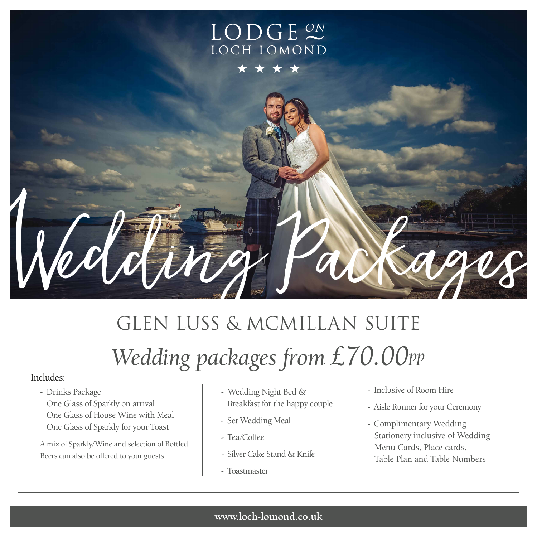## LODGE<sup>ON</sup> LOCH LOMOND

# GLEN LUSS & MCMILLAN SUITE *Wedding packages from £70.00pp* Wedding Packages

#### Includes:

- Drinks Package
	- One Glass of Sparkly on arrival One Glass of House Wine with Meal One Glass of Sparkly for your Toast

A mix of Sparkly/Wine and selection of Bottled Beers can also be offered to your guests

- Wedding Night Bed & Breakfast for the happy couple
- Set Wedding Meal
- Tea/Coffee
- Silver Cake Stand & Knife
- Toastmaster
- Inclusive of Room Hire
- Aisle Runner for your Ceremony
- Complimentary Wedding Stationery inclusive of Wedding Menu Cards, Place cards, Table Plan and Table Numbers